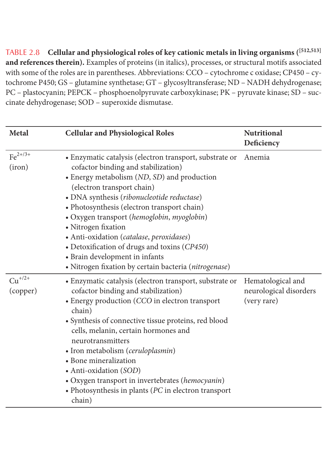Cellular and physiological roles of key cationic metals in living organisms ([512,513] TABLE 2.8 and references therein). Examples of proteins (in italics), processes, or structural motifs associated with some of the roles are in parentheses. Abbreviations: CCO - cytochrome c oxidase; CP450 - cytochrome P450; GS - glutamine synthetase; GT - glycosyltransferase; ND - NADH dehydrogenase; PC - plastocyanin; PEPCK - phosphoenolpyruvate carboxykinase; PK - pyruvate kinase; SD - succinate dehydrogenase; SOD - superoxide dismutase.

| <b>Metal</b>                     | <b>Cellular and Physiological Roles</b>                                                                                                                                                                                                                                                                                                                                                                                                                                                                                              | <b>Nutritional</b><br>Deficiency                           |
|----------------------------------|--------------------------------------------------------------------------------------------------------------------------------------------------------------------------------------------------------------------------------------------------------------------------------------------------------------------------------------------------------------------------------------------------------------------------------------------------------------------------------------------------------------------------------------|------------------------------------------------------------|
| $\text{Fe}^{2+/3+}$<br>(iron)    | · Enzymatic catalysis (electron transport, substrate or<br>cofactor binding and stabilization)<br>• Energy metabolism (ND, SD) and production<br>(electron transport chain)<br>· DNA synthesis (ribonucleotide reductase)<br>• Photosynthesis (electron transport chain)<br>• Oxygen transport (hemoglobin, myoglobin)<br>• Nitrogen fixation<br>• Anti-oxidation (catalase, peroxidases)<br>• Detoxification of drugs and toxins (CP450)<br>· Brain development in infants<br>· Nitrogen fixation by certain bacteria (nitrogenase) | Anemia                                                     |
| $\mathrm{Cu}^{+/2+}$<br>(copper) | • Enzymatic catalysis (electron transport, substrate or<br>cofactor binding and stabilization)<br>• Energy production (CCO in electron transport<br>chain)<br>• Synthesis of connective tissue proteins, red blood<br>cells, melanin, certain hormones and<br>neurotransmitters<br>• Iron metabolism (ceruloplasmin)<br>• Bone mineralization<br>• Anti-oxidation (SOD)<br>• Oxygen transport in invertebrates (hemocyanin)<br>• Photosynthesis in plants ( $PC$ in electron transport<br>chain)                                     | Hematological and<br>neurological disorders<br>(very rare) |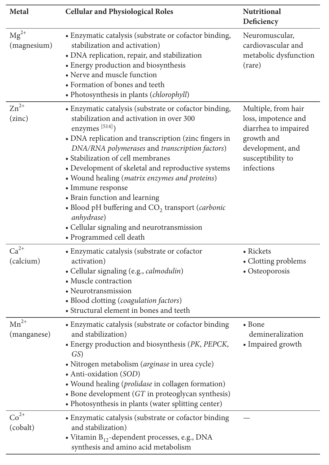| <b>Metal</b>               | <b>Cellular and Physiological Roles</b>                                                                                                                                                                                                                                                                                                                                                                                                                                                                                                                                                 | <b>Nutritional</b><br>Deficiency                                                                                                        |
|----------------------------|-----------------------------------------------------------------------------------------------------------------------------------------------------------------------------------------------------------------------------------------------------------------------------------------------------------------------------------------------------------------------------------------------------------------------------------------------------------------------------------------------------------------------------------------------------------------------------------------|-----------------------------------------------------------------------------------------------------------------------------------------|
| $Mg^{2+}$<br>(magnesium)   | • Enzymatic catalysis (substrate or cofactor binding,<br>stabilization and activation)<br>• DNA replication, repair, and stabilization<br>• Energy production and biosynthesis<br>• Nerve and muscle function<br>• Formation of bones and teeth<br>• Photosynthesis in plants ( <i>chlorophyll</i> )                                                                                                                                                                                                                                                                                    | Neuromuscular,<br>cardiovascular and<br>metabolic dysfunction<br>(rare)                                                                 |
| $\text{Zn}^{2+}$<br>(zinc) | • Enzymatic catalysis (substrate or cofactor binding,<br>stabilization and activation in over 300<br>enzymes $[514]$ )<br>• DNA replication and transcription (zinc fingers in<br>DNA/RNA polymerases and transcription factors)<br>• Stabilization of cell membranes<br>• Development of skeletal and reproductive systems<br>• Wound healing (matrix enzymes and proteins)<br>• Immune response<br>• Brain function and learning<br>• Blood pH buffering and $CO2$ transport ( <i>carbonic</i><br>anhydrase)<br>• Cellular signaling and neurotransmission<br>• Programmed cell death | Multiple, from hair<br>loss, impotence and<br>diarrhea to impaired<br>growth and<br>development, and<br>susceptibility to<br>infections |
| $Ca^{2+}$<br>(calcium)     | • Enzymatic catalysis (substrate or cofactor<br>activation)<br>· Cellular signaling (e.g., calmodulin)<br>• Muscle contraction<br>• Neurotransmission<br>• Blood clotting (coagulation factors)<br>• Structural element in bones and teeth                                                                                                                                                                                                                                                                                                                                              | • Rickets<br>• Clotting problems<br>• Osteoporosis                                                                                      |
| $Mn^{2+}$<br>(manganese)   | • Enzymatic catalysis (substrate or cofactor binding)<br>and stabilization)<br>• Energy production and biosynthesis (PK, PEPCK,<br>GS)<br>• Nitrogen metabolism ( <i>arginase</i> in urea cycle)<br>• Anti-oxidation (SOD)<br>• Wound healing (prolidase in collagen formation)<br>• Bone development $(GT$ in proteoglycan synthesis)<br>• Photosynthesis in plants (water splitting center)                                                                                                                                                                                           | $\bullet$ Bone<br>demineralization<br>• Impaired growth                                                                                 |
| $Co2+$<br>(cobalt)         | • Enzymatic catalysis (substrate or cofactor binding)<br>and stabilization)<br>• Vitamin $B_{12}$ -dependent processes, e.g., DNA<br>synthesis and amino acid metabolism                                                                                                                                                                                                                                                                                                                                                                                                                |                                                                                                                                         |